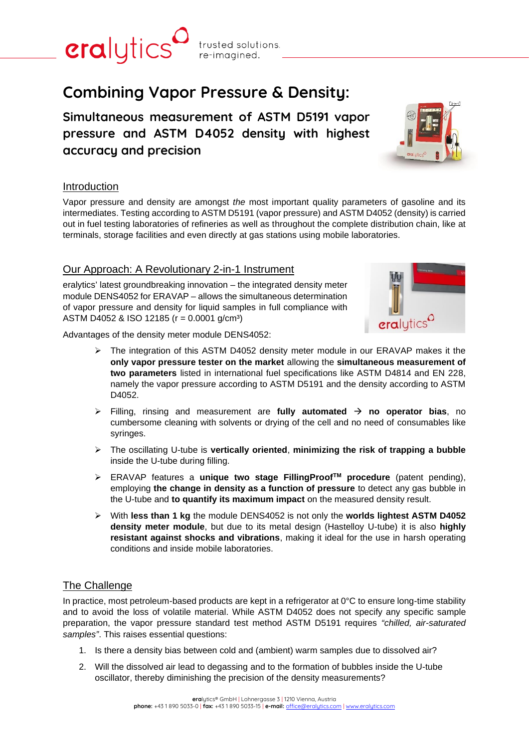

**Simultaneous measurement of ASTM D5191 vapor pressure and ASTM D4052 density with highest accuracy and precision**



Vapor pressure and density are amongst *the* most important quality parameters of gasoline and its intermediates. Testing according to ASTM D5191 (vapor pressure) and ASTM D4052 (density) is carried out in fuel testing laboratories of refineries as well as throughout the complete distribution chain, like at terminals, storage facilities and even directly at gas stations using mobile laboratories.

# Our Approach: A Revolutionary 2-in-1 Instrument

eralytics' latest groundbreaking innovation – the integrated density meter module DENS4052 for ERAVAP – allows the simultaneous determination of vapor pressure and density for liquid samples in full compliance with ASTM D4052 & ISO 12185 (r = 0.0001 g/cm³)



Advantages of the density meter module DENS4052:

- ➢ The integration of this ASTM D4052 density meter module in our ERAVAP makes it the **only vapor pressure tester on the market** allowing the **simultaneous measurement of two parameters** listed in international fuel specifications like ASTM D4814 and EN 228, namely the vapor pressure according to ASTM D5191 and the density according to ASTM D4052.
- ➢ Filling, rinsing and measurement are **fully automated** → **no operator bias**, no cumbersome cleaning with solvents or drying of the cell and no need of consumables like syringes.
- ➢ The oscillating U-tube is **vertically oriented**, **minimizing the risk of trapping a bubble** inside the U-tube during filling.
- ➢ ERAVAP features a **unique two stage FillingProofTM procedure** (patent pending), employing **the change in density as a function of pressure** to detect any gas bubble in the U-tube and **to quantify its maximum impact** on the measured density result.
- ➢ With **less than 1 kg** the module DENS4052 is not only the **worlds lightest ASTM D4052 density meter module**, but due to its metal design (Hastelloy U-tube) it is also **highly resistant against shocks and vibrations**, making it ideal for the use in harsh operating conditions and inside mobile laboratories.

## The Challenge

In practice, most petroleum-based products are kept in a refrigerator at 0°C to ensure long-time stability and to avoid the loss of volatile material. While ASTM D4052 does not specify any specific sample preparation, the vapor pressure standard test method ASTM D5191 requires *"chilled, air-saturated samples"*. This raises essential questions:

- 1. Is there a density bias between cold and (ambient) warm samples due to dissolved air?
- 2. Will the dissolved air lead to degassing and to the formation of bubbles inside the U-tube oscillator, thereby diminishing the precision of the density measurements?



eralytics trusted solutions. re-imagined.